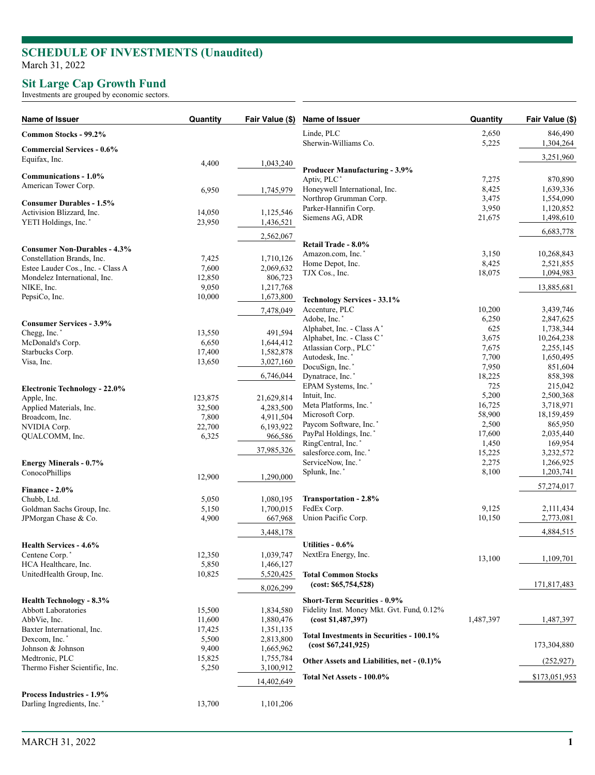## **SCHEDULE OF INVESTMENTS (Unaudited )** March 31, 2022

## **Sit Large Cap Growth Fund**

Investments are grouped by economic sectors.

| Name of Issuer                                   | Quantity | Fair Value (\$) | Name of Issuer                                                  | Quantity       | Fair Value (\$)        |
|--------------------------------------------------|----------|-----------------|-----------------------------------------------------------------|----------------|------------------------|
| Common Stocks - 99.2%                            |          |                 | Linde, PLC                                                      | 2,650          | 846,490                |
| <b>Commercial Services - 0.6%</b>                |          |                 | Sherwin-Williams Co.                                            | 5,225          | 1,304,264              |
| Equifax, Inc.                                    | 4,400    | 1,043,240       |                                                                 |                | 3,251,960              |
|                                                  |          |                 | <b>Producer Manufacturing - 3.9%</b>                            |                |                        |
| Communications - 1.0%<br>American Tower Corp.    |          |                 | Aptiv, PLC <sup>*</sup>                                         | 7,275          | 870,890                |
|                                                  | 6,950    | 1,745,979       | Honeywell International, Inc.                                   | 8,425          | 1,639,336              |
| <b>Consumer Durables - 1.5%</b>                  |          |                 | Northrop Grumman Corp.                                          | 3,475          | 1,554,090              |
| Activision Blizzard, Inc.                        | 14,050   | 1,125,546       | Parker-Hannifin Corp.<br>Siemens AG, ADR                        | 3,950          | 1,120,852              |
| YETI Holdings, Inc. <sup>*</sup>                 | 23,950   | 1,436,521       |                                                                 | 21,675         | 1,498,610              |
|                                                  |          | 2,562,067       |                                                                 |                | 6,683,778              |
| <b>Consumer Non-Durables - 4.3%</b>              |          |                 | Retail Trade - 8.0%                                             |                |                        |
| Constellation Brands, Inc.                       | 7,425    | 1,710,126       | Amazon.com, Inc.*                                               | 3,150          | 10,268,843             |
| Estee Lauder Cos., Inc. - Class A                | 7,600    | 2,069,632       | Home Depot, Inc.                                                | 8,425          | 2,521,855              |
| Mondelez International, Inc.                     | 12,850   | 806,723         | TJX Cos., Inc.                                                  | 18,075         | 1,094,983              |
| NIKE, Inc.                                       | 9,050    | 1,217,768       |                                                                 |                | 13,885,681             |
| PepsiCo, Inc.                                    | 10,000   | 1,673,800       | <b>Technology Services - 33.1%</b>                              |                |                        |
|                                                  |          | 7,478,049       | Accenture, PLC                                                  | 10,200         | 3,439,746              |
|                                                  |          |                 | Adobe, Inc.*                                                    | 6,250          | 2,847,625              |
| <b>Consumer Services - 3.9%</b>                  |          |                 | Alphabet, Inc. - Class A*                                       | 625            | 1,738,344              |
| Chegg, Inc.*                                     | 13,550   | 491.594         | Alphabet, Inc. - Class C*                                       | 3,675          | 10,264,238             |
| McDonald's Corp.                                 | 6,650    | 1,644,412       | Atlassian Corp., PLC'                                           | 7,675          | 2,255,145              |
| Starbucks Corp.                                  | 17,400   | 1,582,878       | Autodesk, Inc.*                                                 | 7,700          | 1,650,495              |
| Visa, Inc.                                       | 13,650   | 3,027,160       | DocuSign, Inc.*                                                 | 7,950          | 851,604                |
|                                                  |          | 6,746,044       | Dynatrace, Inc.*                                                | 18,225         | 858,398                |
| <b>Electronic Technology - 22.0%</b>             |          |                 | EPAM Systems, Inc.*                                             | 725            | 215,042                |
| Apple, Inc.                                      | 123,875  | 21,629,814      | Intuit, Inc.                                                    | 5,200          | 2,500,368              |
| Applied Materials, Inc.                          | 32,500   | 4,283,500       | Meta Platforms, Inc. <sup>*</sup>                               | 16,725         | 3,718,971              |
| Broadcom, Inc.                                   | 7,800    | 4,911,504       | Microsoft Corp.                                                 | 58,900         | 18,159,459             |
| NVIDIA Corp.                                     | 22,700   | 6,193,922       | Paycom Software, Inc.*                                          | 2,500          | 865,950                |
| QUALCOMM, Inc.                                   | 6,325    | 966,586         | PayPal Holdings, Inc.*                                          | 17,600         | 2,035,440              |
|                                                  |          | 37,985,326      | RingCentral, Inc.*                                              | 1,450          | 169,954                |
|                                                  |          |                 | salesforce.com, Inc.'<br>ServiceNow, Inc.*                      | 15,225         | 3,232,572              |
| <b>Energy Minerals - 0.7%</b>                    |          |                 | Splunk, Inc.*                                                   | 2,275<br>8,100 | 1,266,925<br>1,203,741 |
| ConocoPhillips                                   | 12,900   | 1,290,000       |                                                                 |                |                        |
| Finance - $2.0\%$                                |          |                 |                                                                 |                | 57,274,017             |
| Chubb, Ltd.                                      | 5,050    | 1,080,195       | Transportation - 2.8%                                           |                |                        |
| Goldman Sachs Group, Inc.                        | 5,150    | 1.700.015       | FedEx Corp.                                                     | 9,125          | 2,111,434              |
| JPMorgan Chase & Co.                             | 4,900    | 667,968         | Union Pacific Corp.                                             | 10,150         | 2,773,081              |
|                                                  |          | 3,448,178       |                                                                 |                | 4,884,515              |
|                                                  |          |                 | Utilities - 0.6%                                                |                |                        |
| Health Services - 4.6%                           | 12,350   | 1,039,747       | NextEra Energy, Inc.                                            |                |                        |
| Centene Corp.*                                   | 5,850    | 1,466,127       |                                                                 | 13,100         | 1,109,701              |
| HCA Healthcare, Inc.<br>UnitedHealth Group, Inc. | 10,825   | 5,520,425       | <b>Total Common Stocks</b>                                      |                |                        |
|                                                  |          |                 | (cost: \$65,754,528)                                            |                | 171,817,483            |
|                                                  |          | 8,026,299       |                                                                 |                |                        |
| Health Technology - 8.3%                         |          |                 | <b>Short-Term Securities - 0.9%</b>                             |                |                        |
| <b>Abbott Laboratories</b>                       | 15,500   | 1,834,580       | Fidelity Inst. Money Mkt. Gvt. Fund, 0.12%                      |                |                        |
| AbbVie, Inc.                                     | 11,600   | 1,880,476       | (cost \$1,487,397)                                              | 1,487,397      | 1,487,397              |
| Baxter International, Inc.                       | 17,425   | 1,351,135       |                                                                 |                |                        |
| Dexcom, Inc. <sup>*</sup>                        | 5,500    | 2,813,800       | Total Investments in Securities - 100.1%<br>(cost \$67,241,925) |                | 173,304,880            |
| Johnson & Johnson                                | 9,400    | 1,665,962       |                                                                 |                |                        |
| Medtronic, PLC                                   | 15,825   | 1,755,784       | Other Assets and Liabilities, net - (0.1)%                      |                | (252, 927)             |
| Thermo Fisher Scientific, Inc.                   | 5,250    | 3,100,912       |                                                                 |                |                        |
|                                                  |          | 14,402,649      | Total Net Assets - 100.0%                                       |                | \$173,051,953          |
| <b>Process Industries - 1.9%</b>                 |          |                 |                                                                 |                |                        |
| Darling Ingredients, Inc. <sup>*</sup>           | 13,700   | 1,101,206       |                                                                 |                |                        |